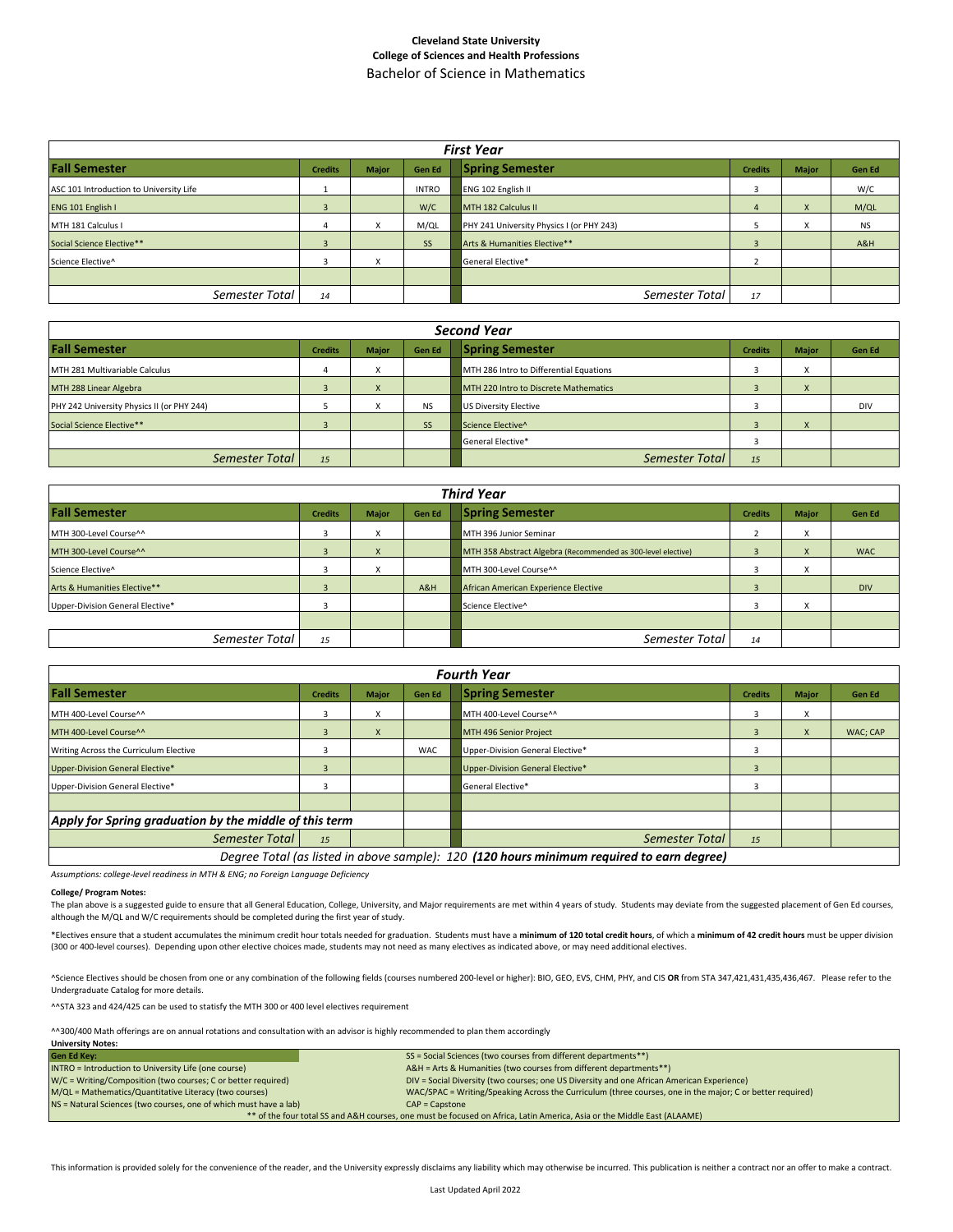## **Cleveland State University College of Sciences and Health Professions** Bachelor of Science in Mathematics

| <b>First Year</b>                       |                |              |               |                                           |                |              |           |  |  |  |  |  |  |
|-----------------------------------------|----------------|--------------|---------------|-------------------------------------------|----------------|--------------|-----------|--|--|--|--|--|--|
| <b>Fall Semester</b>                    | <b>Credits</b> | <b>Major</b> | <b>Gen Ed</b> | <b>Spring Semester</b>                    | <b>Credits</b> | <b>Major</b> | Gen Ed    |  |  |  |  |  |  |
| ASC 101 Introduction to University Life |                |              | <b>INTRO</b>  | <b>ENG 102 English II</b>                 |                |              | W/C       |  |  |  |  |  |  |
| ENG 101 English I                       |                |              | W/C           | MTH 182 Calculus II                       |                | X            | M/QL      |  |  |  |  |  |  |
| MTH 181 Calculus I                      | 4              |              | M/QL          | PHY 241 University Physics I (or PHY 243) |                | X            | <b>NS</b> |  |  |  |  |  |  |
| Social Science Elective**               |                |              | <b>SS</b>     | Arts & Humanities Elective**              |                |              | A&H       |  |  |  |  |  |  |
| Science Elective^                       |                |              |               | General Elective*                         |                |              |           |  |  |  |  |  |  |
|                                         |                |              |               |                                           |                |              |           |  |  |  |  |  |  |
| Semester Total                          | 14             |              |               | Semester Total                            | 17             |              |           |  |  |  |  |  |  |

| <b>Second Year</b>                         |                |              |               |                                         |                |                           |               |  |  |  |  |  |  |
|--------------------------------------------|----------------|--------------|---------------|-----------------------------------------|----------------|---------------------------|---------------|--|--|--|--|--|--|
| <b>Fall Semester</b>                       | <b>Credits</b> | <b>Major</b> | <b>Gen Ed</b> | <b>Spring Semester</b>                  | <b>Credits</b> | <b>Major</b>              | <b>Gen Ed</b> |  |  |  |  |  |  |
| MTH 281 Multivariable Calculus             | 4              |              |               | MTH 286 Intro to Differential Equations |                | $\checkmark$<br>$\lambda$ |               |  |  |  |  |  |  |
| MTH 288 Linear Algebra                     |                | л            |               | MTH 220 Intro to Discrete Mathematics   |                | X                         |               |  |  |  |  |  |  |
| PHY 242 University Physics II (or PHY 244) |                |              | <b>NS</b>     | US Diversity Elective                   |                |                           | <b>DIV</b>    |  |  |  |  |  |  |
| Social Science Elective**                  |                |              | <b>SS</b>     | Science Elective^                       |                | $\lambda$                 |               |  |  |  |  |  |  |
|                                            |                |              |               | General Elective*                       |                |                           |               |  |  |  |  |  |  |
| Semester Total                             | 15             |              |               | Semester Total                          | 15             |                           |               |  |  |  |  |  |  |

|                                  | <b>Third Year</b> |              |               |                                                              |                |                              |               |  |  |  |  |  |  |  |
|----------------------------------|-------------------|--------------|---------------|--------------------------------------------------------------|----------------|------------------------------|---------------|--|--|--|--|--|--|--|
| <b>Fall Semester</b>             | <b>Credits</b>    | <b>Major</b> | <b>Gen Ed</b> | <b>Spring Semester</b>                                       | <b>Credits</b> | <b>Major</b>                 | <b>Gen Ed</b> |  |  |  |  |  |  |  |
| MTH 300-Level Course^^           | 3                 |              |               | MTH 396 Junior Seminar                                       |                | $\overline{\mathbf{v}}$<br>v |               |  |  |  |  |  |  |  |
| MTH 300-Level Course^^           |                   |              |               | MTH 358 Abstract Algebra (Recommended as 300-level elective) |                | $\boldsymbol{\lambda}$       | <b>WAC</b>    |  |  |  |  |  |  |  |
| Science Elective^                |                   |              |               | MTH 300-Level Course^^                                       |                |                              |               |  |  |  |  |  |  |  |
| Arts & Humanities Elective**     |                   |              | A&H           | African American Experience Elective                         |                |                              | <b>DIV</b>    |  |  |  |  |  |  |  |
| Upper-Division General Elective* |                   |              |               | Science Elective^                                            |                |                              |               |  |  |  |  |  |  |  |
|                                  |                   |              |               |                                                              |                |                              |               |  |  |  |  |  |  |  |
| Semester Total                   | 15                |              |               | Semester Total                                               | 14             |                              |               |  |  |  |  |  |  |  |

|                                                        |  |     |                                  | <b>Fourth Year</b>                                                                        |                |              |          |
|--------------------------------------------------------|--|-----|----------------------------------|-------------------------------------------------------------------------------------------|----------------|--------------|----------|
| <b>Fall Semester</b><br><b>Credits</b><br><b>Major</b> |  |     |                                  | <b>Spring Semester</b>                                                                    | <b>Credits</b> | <b>Major</b> | Gen Ed   |
| MTH 400-Level Course^^                                 |  | x   |                                  | MTH 400-Level Course^^                                                                    |                | X            |          |
| MTH 400-Level Course^^                                 |  | X   |                                  | MTH 496 Senior Project                                                                    | -              | X            | WAC; CAP |
| Writing Across the Curriculum Elective                 |  | WAC | Upper-Division General Elective* |                                                                                           |                |              |          |
| Upper-Division General Elective*                       |  |     | Upper-Division General Elective* | $\overline{3}$                                                                            |                |              |          |
| Upper-Division General Elective*                       |  |     |                                  | <b>General Elective*</b>                                                                  |                |              |          |
|                                                        |  |     |                                  |                                                                                           |                |              |          |
| Apply for Spring graduation by the middle of this term |  |     |                                  |                                                                                           |                |              |          |
| Semester Total<br>15                                   |  |     | Semester Total                   | 15                                                                                        |                |              |          |
|                                                        |  |     |                                  | Degree Total (as listed in above sample): 120 (120 hours minimum required to earn degree) |                |              |          |

*Assumptions: college-level readiness in MTH & ENG; no Foreign Language Deficiency*

## **College/ Program Notes:**

The plan above is a suggested guide to ensure that all General Education, College, University, and Major requirements are met within 4 years of study. Students may deviate from the suggested placement of Gen Ed courses, although the M/QL and W/C requirements should be completed during the first year of study.

\*Electives ensure that a student accumulates the minimum credit hour totals needed for graduation. Students must have a minimum of 120 total credit hours, of which a minimum of 42 credit hours must be upper division (300 or 400-level courses). Depending upon other elective choices made, students may not need as many electives as indicated above, or may need additional electives.

^Science Electives should be chosen from one or any combination of the following fields (courses numbered 200-level or higher): BIO, GEO, EVS, CHM, PHY, and CIS **OR** from STA 347,421,431,435,436,467. Please refer to the Undergraduate Catalog for more details.

^^STA 323 and 424/425 can be used to statisfy the MTH 300 or 400 level electives requirement

^^300/400 Math offerings are on annual rotations and consultation with an advisor is highly recommended to plan them accordingly

| <b>University Notes:</b>                                                                                                |                                                                                                           |  |  |  |  |  |  |  |  |  |
|-------------------------------------------------------------------------------------------------------------------------|-----------------------------------------------------------------------------------------------------------|--|--|--|--|--|--|--|--|--|
| <b>Gen Ed Key:</b>                                                                                                      | SS = Social Sciences (two courses from different departments**)                                           |  |  |  |  |  |  |  |  |  |
| INTRO = Introduction to University Life (one course)                                                                    | A&H = Arts & Humanities (two courses from different departments**)                                        |  |  |  |  |  |  |  |  |  |
| W/C = Writing/Composition (two courses; C or better required)                                                           | DIV = Social Diversity (two courses; one US Diversity and one African American Experience)                |  |  |  |  |  |  |  |  |  |
| M/QL = Mathematics/Quantitative Literacy (two courses)                                                                  | WAC/SPAC = Writing/Speaking Across the Curriculum (three courses, one in the major; C or better required) |  |  |  |  |  |  |  |  |  |
| NS = Natural Sciences (two courses, one of which must have a lab)                                                       | $CAP = \text{Capstone}$                                                                                   |  |  |  |  |  |  |  |  |  |
| ** of the four total SS and A&H courses, one must be focused on Africa, Latin America, Asia or the Middle East (ALAAME) |                                                                                                           |  |  |  |  |  |  |  |  |  |

This information is provided solely for the convenience of the reader, and the University expressly disclaims any liability which may otherwise be incurred. This publication is neither a contract nor an offer to make a con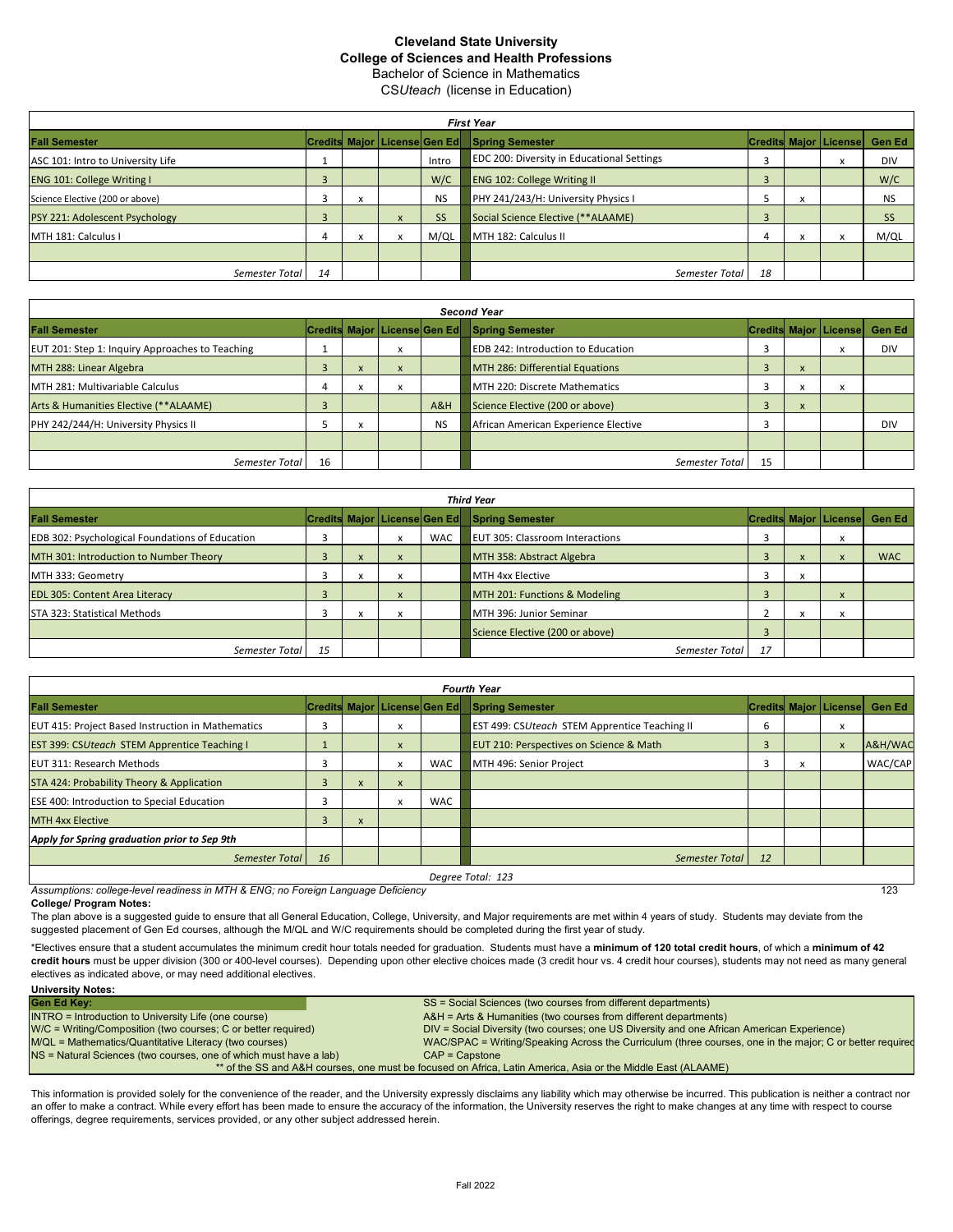## Cleveland State University College of Sciences and Health Professions

Bachelor of Science in Mathematics CSUteach (license in Education)

|                                   | <b>First Year</b> |                                                            |              |                                |                                     |    |            |                              |               |  |  |  |  |  |  |
|-----------------------------------|-------------------|------------------------------------------------------------|--------------|--------------------------------|-------------------------------------|----|------------|------------------------------|---------------|--|--|--|--|--|--|
| <b>Fall Semester</b>              |                   |                                                            |              | Credits Major   License Gen Ed | <b>Spring Semester</b>              |    |            | <b>Credits Major License</b> | <b>Gen Ed</b> |  |  |  |  |  |  |
| ASC 101: Intro to University Life |                   | <b>EDC 200: Diversity in Educational Settings</b><br>Intro |              |                                |                                     | X  | <b>DIV</b> |                              |               |  |  |  |  |  |  |
| <b>ENG 101: College Writing I</b> |                   |                                                            |              | W/C                            | <b>ENG 102: College Writing II</b>  |    |            |                              | W/C           |  |  |  |  |  |  |
| Science Elective (200 or above)   |                   | х                                                          |              | <b>NS</b>                      | PHY 241/243/H: University Physics I |    |            |                              | <b>NS</b>     |  |  |  |  |  |  |
| PSY 221: Adolescent Psychology    |                   |                                                            | $\mathbf{x}$ | <b>SS</b>                      | Social Science Elective (**ALAAME)  |    |            |                              | SS            |  |  |  |  |  |  |
| MTH 181: Calculus I               |                   |                                                            |              | M/QL                           | MTH 182: Calculus II                |    |            | X                            | M/QL          |  |  |  |  |  |  |
|                                   |                   |                                                            |              |                                |                                     |    |            |                              |               |  |  |  |  |  |  |
| Semester Total                    | 14                |                                                            |              |                                | Semester Total                      | 18 |            |                              |               |  |  |  |  |  |  |

| <b>Second Year</b>                              |    |        |              |           |                                                  |    |              |                                |            |  |  |  |  |  |
|-------------------------------------------------|----|--------|--------------|-----------|--------------------------------------------------|----|--------------|--------------------------------|------------|--|--|--|--|--|
| <b>Fall Semester</b>                            |    |        |              |           | Credits Major   License Gen Ed   Spring Semester |    |              | <b>Credits Major   License</b> | Gen Ed     |  |  |  |  |  |
| EUT 201: Step 1: Inquiry Approaches to Teaching |    |        | x            |           | <b>EDB 242: Introduction to Education</b>        |    |              | X                              | <b>DIV</b> |  |  |  |  |  |
| MTH 288: Linear Algebra                         |    | ^      | $\mathsf{x}$ |           | MTH 286: Differential Equations                  | 3  | $\lambda$    |                                |            |  |  |  |  |  |
| MTH 281: Multivariable Calculus                 |    |        | x            |           | MTH 220: Discrete Mathematics                    |    |              |                                |            |  |  |  |  |  |
| Arts & Humanities Elective (**ALAAME)           |    |        |              | A&H       | Science Elective (200 or above)                  |    | $\mathbf{A}$ |                                |            |  |  |  |  |  |
| PHY 242/244/H: University Physics II            |    | $\sim$ |              | <b>NS</b> | African American Experience Elective             |    |              |                                | <b>DIV</b> |  |  |  |  |  |
|                                                 |    |        |              |           |                                                  |    |              |                                |            |  |  |  |  |  |
| Semester Total                                  | 16 |        |              |           | Semester Total                                   | 15 |              |                                |            |  |  |  |  |  |

| <b>Third Year</b>                                      |  |                          |              |            |                                                                                     |  |  |                        |                                  |  |  |  |  |  |
|--------------------------------------------------------|--|--------------------------|--------------|------------|-------------------------------------------------------------------------------------|--|--|------------------------|----------------------------------|--|--|--|--|--|
| <b>Fall Semester</b>                                   |  |                          |              |            | Credits Major License Gen Ed Spring Semester                                        |  |  |                        | Credits Major   License   Gen Ed |  |  |  |  |  |
| <b>EDB 302: Psychological Foundations of Education</b> |  |                          | x            | <b>WAC</b> | <b>EUT 305: Classroom Interactions</b>                                              |  |  | $\lambda$              |                                  |  |  |  |  |  |
| MTH 301: Introduction to Number Theory                 |  | X                        | $\mathsf{x}$ |            | MTH 358: Abstract Algebra<br>$\boldsymbol{\mathsf{x}}$<br>$\boldsymbol{\mathsf{x}}$ |  |  |                        |                                  |  |  |  |  |  |
| MTH 333: Geometry                                      |  | $\overline{\phantom{a}}$ | x            |            | MTH 4xx Elective                                                                    |  |  |                        |                                  |  |  |  |  |  |
| <b>EDL 305: Content Area Literacy</b>                  |  |                          | $\lambda$    |            | MTH 201: Functions & Modeling                                                       |  |  | $\boldsymbol{\lambda}$ |                                  |  |  |  |  |  |
| STA 323: Statistical Methods                           |  |                          |              |            | MTH 396: Junior Seminar                                                             |  |  |                        |                                  |  |  |  |  |  |
|                                                        |  |                          |              |            | Science Elective (200 or above)                                                     |  |  |                        |                                  |  |  |  |  |  |
| 15<br>17<br>Semester Total<br>Semester Total           |  |                          |              |            |                                                                                     |  |  |                        |                                  |  |  |  |  |  |

| <b>Fourth Year</b>                                       |   |              |              |                              |                                                      |               |   |                                |         |  |  |  |  |  |
|----------------------------------------------------------|---|--------------|--------------|------------------------------|------------------------------------------------------|---------------|---|--------------------------------|---------|--|--|--|--|--|
| <b>Fall Semester</b>                                     |   |              |              | Credits Major License Gen Ed | <b>Spring Semester</b>                               |               |   | <b>Credits Major   License</b> | Gen Ed  |  |  |  |  |  |
| <b>EUT 415: Project Based Instruction in Mathematics</b> |   |              | x            |                              | <b>EST 499: CSUteach STEM Apprentice Teaching II</b> | 6             |   | X                              |         |  |  |  |  |  |
| <b>EST 399: CSUteach STEM Apprentice Teaching I</b>      |   |              | $\mathsf{x}$ |                              | <b>EUT 210: Perspectives on Science &amp; Math</b>   | 3             |   | $\boldsymbol{\mathsf{x}}$      | A&H/WAC |  |  |  |  |  |
| <b>EUT 311: Research Methods</b>                         |   |              | x            | <b>WAC</b>                   | MTH 496: Senior Project                              | 3             | x |                                | WAC/CAP |  |  |  |  |  |
| STA 424: Probability Theory & Application                |   | $\mathsf{x}$ | X            |                              |                                                      |               |   |                                |         |  |  |  |  |  |
| <b>ESE 400: Introduction to Special Education</b>        |   |              | x            | <b>WAC</b>                   |                                                      |               |   |                                |         |  |  |  |  |  |
| <b>MTH 4xx Elective</b>                                  | 3 | X            |              |                              |                                                      |               |   |                                |         |  |  |  |  |  |
| Apply for Spring graduation prior to Sep 9th             |   |              |              |                              |                                                      |               |   |                                |         |  |  |  |  |  |
| <b>16</b><br>Semester Total                              |   |              |              |                              | Semester Total                                       | <sup>12</sup> |   |                                |         |  |  |  |  |  |
|                                                          |   |              |              |                              | Degree Total: 123                                    |               |   |                                |         |  |  |  |  |  |

Assumptions: college-level readiness in MTH & ENG; no Foreign Language Deficiency **Contained a contained a contained a** contained a contact the contact of the contact of the contact of the contact of the contact of the con

College/ Program Notes:

The plan above is a suggested guide to ensure that all General Education, College, University, and Major requirements are met within 4 years of study. Students may deviate from the suggested placement of Gen Ed courses, although the M/QL and W/C requirements should be completed during the first year of study.

\*Electives ensure that a student accumulates the minimum credit hour totals needed for graduation. Students must have a minimum of 120 total credit hours, of which a minimum of 42 credit hours must be upper division (300 or 400-level courses). Depending upon other elective choices made (3 credit hour vs. 4 credit hour courses), students may not need as many general electives as indicated above, or may need additional electives.

| <b>Gen Ed Kev:</b>                                                | SS = Social Sciences (two courses from different departments)                                                |
|-------------------------------------------------------------------|--------------------------------------------------------------------------------------------------------------|
| <b>INTRO</b> = Introduction to University Life (one course)       | A&H = Arts & Humanities (two courses from different departments)                                             |
| W/C = Writing/Composition (two courses; C or better required)     | DIV = Social Diversity (two courses; one US Diversity and one African American Experience)                   |
| M/QL = Mathematics/Quantitative Literacy (two courses)            | WAC/SPAC = Writing/Speaking Across the Curriculum (three courses, one in the major; C or better required     |
| NS = Natural Sciences (two courses, one of which must have a lab) | $CAP = Casstone$                                                                                             |
|                                                                   | ** of the SS and A&H courses, one must be focused on Africa, Latin America, Asia or the Middle East (ALAAME) |

This information is provided solely for the convenience of the reader, and the University expressly disclaims any liability which may otherwise be incurred. This publication is neither a contract nor an offer to make a contract. While every effort has been made to ensure the accuracy of the information, the University reserves the right to make changes at any time with respect to course offerings, degree requirements, services provided, or any other subject addressed herein.